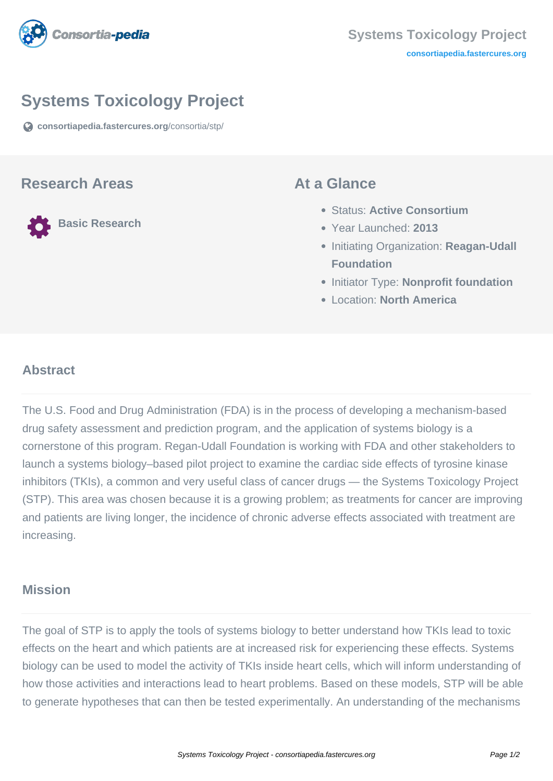

# **Systems Toxicology Project**

**[consortiapedia.fastercures.org](https://consortiapedia.fastercures.org/consortia/stp/)**[/consortia/stp/](https://consortiapedia.fastercures.org/consortia/stp/)

#### **Research Areas**

**Basic Research**

#### **At a Glance**

- Status: **Active Consortium**
- Year Launched: **2013**
- **Initiating Organization: Reagan-Udall Foundation**
- **Initiator Type: Nonprofit foundation**
- Location: **North America**

#### $\overline{a}$ **Abstract**

The U.S. Food and Drug Administration (FDA) is in the process of developing a mechanism-based drug safety assessment and prediction program, and the application of systems biology is a cornerstone of this program. Regan-Udall Foundation is working with FDA and other stakeholders to launch a systems biology–based pilot project to examine the cardiac side effects of tyrosine kinase inhibitors (TKIs), a common and very useful class of cancer drugs — the Systems Toxicology Project (STP). This area was chosen because it is a growing problem; as treatments for cancer are improving and patients are living longer, the incidence of chronic adverse effects associated with treatment are increasing.

### **Mission**

The goal of STP is to apply the tools of systems biology to better understand how TKIs lead to toxic effects on the heart and which patients are at increased risk for experiencing these effects. Systems biology can be used to model the activity of TKIs inside heart cells, which will inform understanding of how those activities and interactions lead to heart problems. Based on these models, STP will be able to generate hypotheses that can then be tested experimentally. An understanding of the mechanisms